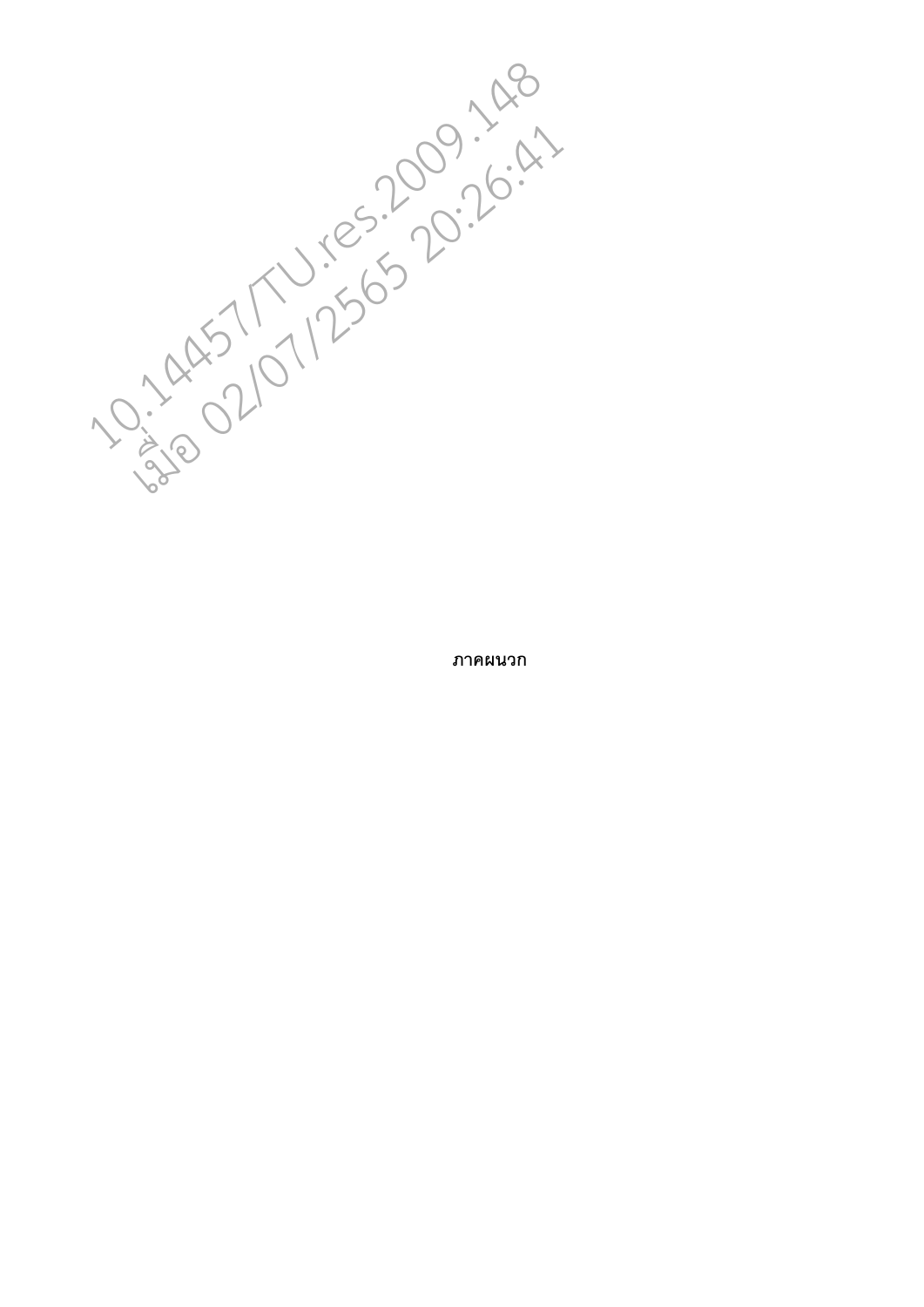10.14457/TU.12565.2009.148 11/2565 20:26:41

**ภาคผนวก**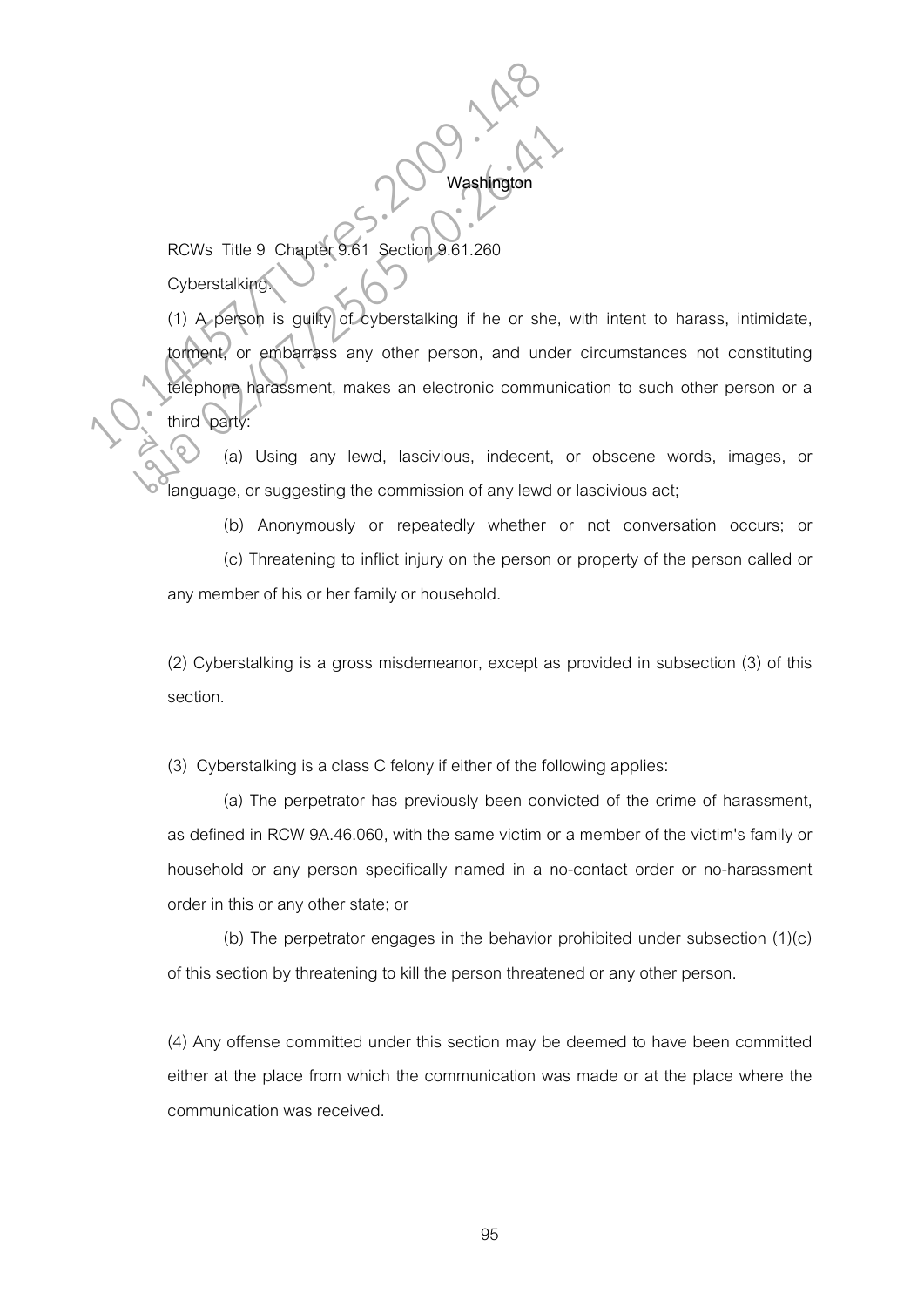RCWs Title 9 Chapter 9.61 Section 9.61.260 **Cyberstalking** 

(1) A person is guilty of cyberstalking if he or she, with intent to harass, intimidate, torment, or embarrass any other person, and under circumstances not constituting telephone harassment, makes an electronic communication to such other person or a third party RCWs Title 9 Chapter 9:61 Section 9:61.260<br>Cyberstalking<br>(1) A person is guilty of cyberstalking if he or she,<br>torment, or embarrass any other person, and under<br>third party: Washington<br>
RCWs Title 9 Chapter 9.61 Section 9.61.260<br>
Cyberstalking<br>
(1) A person is guilty of cyberstalking if he or she,<br>
torment, or embarrass any other person, and under<br>
third party:<br>
(a) Using any lewd, lascivious,

**Washington** 

 (a) Using any lewd, lascivious, indecent, or obscene words, images, or language, or suggesting the commission of any lewd or lascivious act;

(b) Anonymously or repeatedly whether or not conversation occurs; or

 (c) Threatening to inflict injury on the person or property of the person called or any member of his or her family or household.

(2) Cyberstalking is a gross misdemeanor, except as provided in subsection (3) of this section.

(3) Cyberstalking is a class C felony if either of the following applies:

(a) The perpetrator has previously been convicted of the crime of harassment, as defined in RCW 9A.46.060, with the same victim or a member of the victim's family or household or any person specifically named in a no-contact order or no-harassment order in this or any other state; or

(b) The perpetrator engages in the behavior prohibited under subsection (1)(c) of this section by threatening to kill the person threatened or any other person.

(4) Any offense committed under this section may be deemed to have been committed either at the place from which the communication was made or at the place where the communication was received.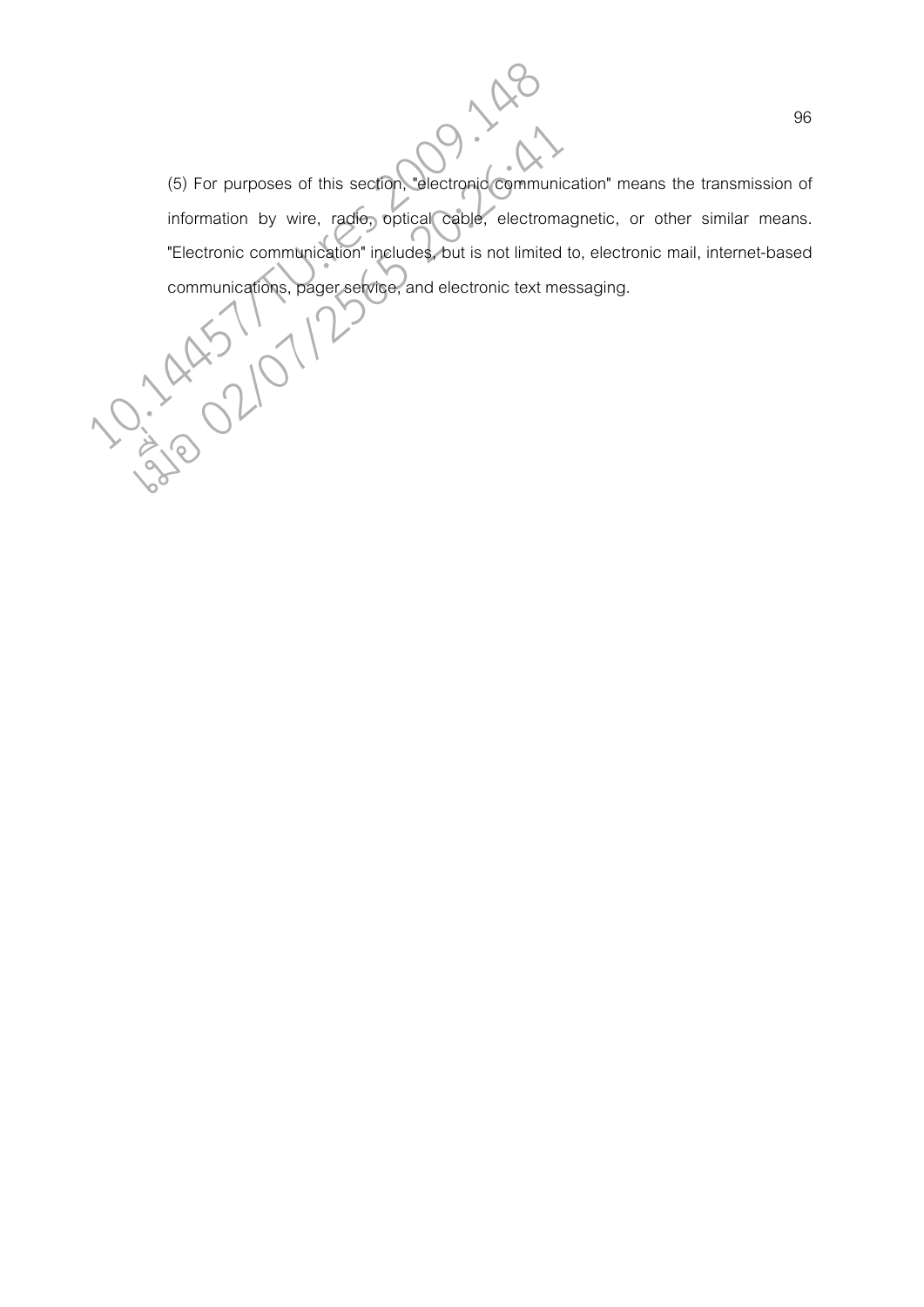(5) For purposes of this section, "electronic communication" means the transmission of information by wire, radio, optical cable, electromagnetic, or other similar means. "Electronic communication" includes, but is not limited to, electronic mail, internet-based (5) For purposes of this section. electronic communication" me<br>
information by wire, radio, optical cable, electromagnetic, or<br>
"Electronic communication" includes, but is not limited to, electromomunications, pager servic (5) For purposes of this section, delectronic communic<br>information by wire, radio, optical cable, electroma<br>"Electronic communication" includes, but is not limited<br>communications, pager service, and electronic text me<br>Allo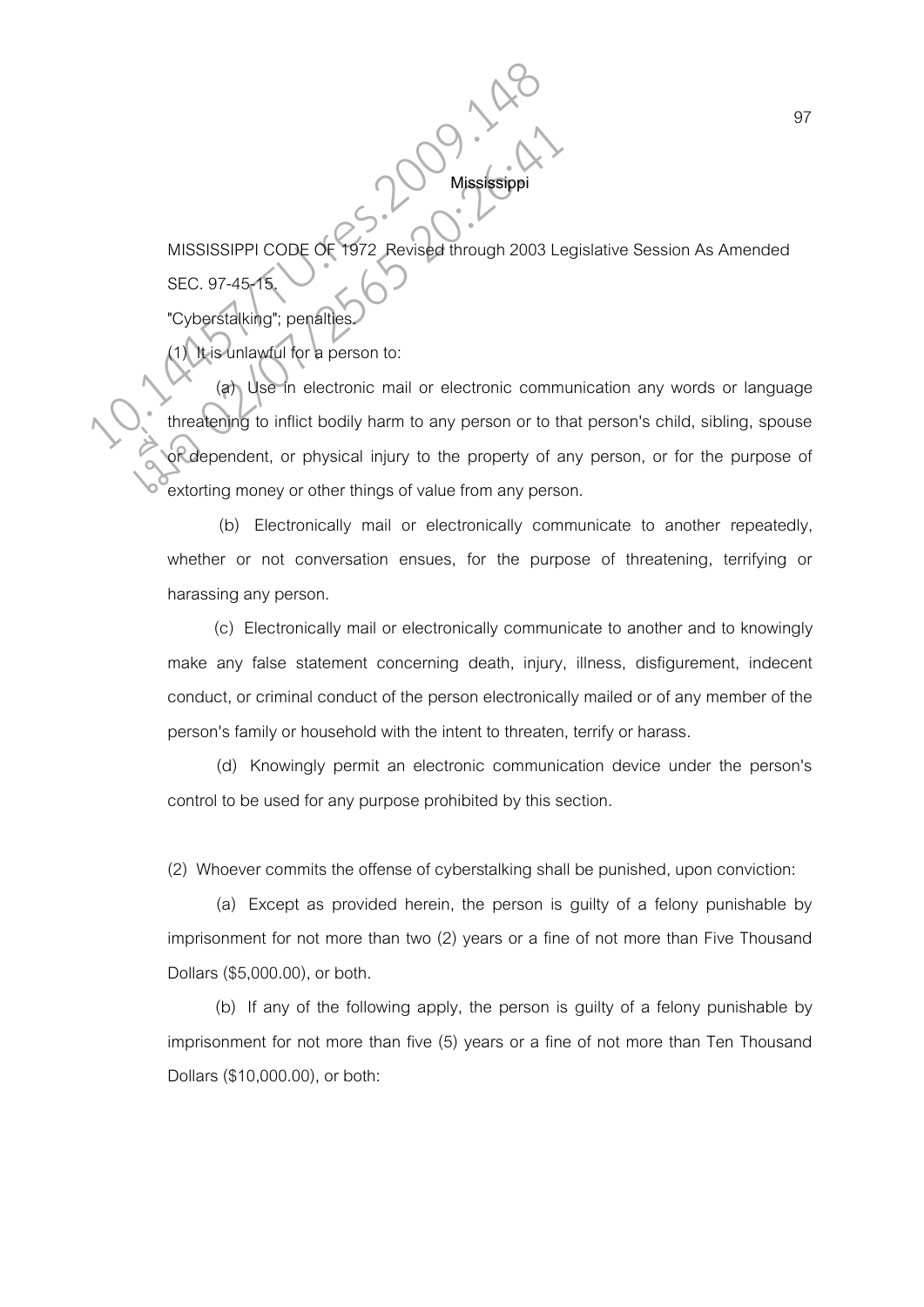MISSISSIPPI CODE OF 1972 Revised through 2003 Legislative Session As Amended SEC. 97-45

**Mississi** 

"Cyberstalking"; penalties.

It is unlawful for a person to:

(a) Use in electronic mail or electronic communication any words or language threatening to inflict bodily harm to any person or to that person's child, sibling, spouse or dependent, or physical injury to the property of any person, or for the purpose of extorting money or other things of value from any person. MISSISSIPPI CODE OF 1972 Revised through 2003 L<br>SEC. 97-45-15<br>"Cyberstalking"; penalties.<br>(a) Use In electronic mail or electronic commeters.<br>"All this unlawful for a person to:<br>threatening to inflict bodily harm to any pe MISSISSIPPI CODE OF 1972 Revised through 2003 Le<br>
SEC. 97-45-15<br>
"Cyberstalking"; penalties<br>
(1) It is unlawful for a person to:<br>
(a) Use in electronic mail or electronic comm<br>
threatening to inflict bodily harm to any per

> (b) Electronically mail or electronically communicate to another repeatedly, whether or not conversation ensues, for the purpose of threatening, terrifying or harassing any person.

> (c) Electronically mail or electronically communicate to another and to knowingly make any false statement concerning death, injury, illness, disfigurement, indecent conduct, or criminal conduct of the person electronically mailed or of any member of the person's family or household with the intent to threaten, terrify or harass.

> (d) Knowingly permit an electronic communication device under the person's control to be used for any purpose prohibited by this section.

(2) Whoever commits the offense of cyberstalking shall be punished, upon conviction:

 (a) Except as provided herein, the person is guilty of a felony punishable by imprisonment for not more than two (2) years or a fine of not more than Five Thousand Dollars (\$5,000.00), or both.

 (b) If any of the following apply, the person is guilty of a felony punishable by imprisonment for not more than five (5) years or a fine of not more than Ten Thousand Dollars (\$10,000.00), or both: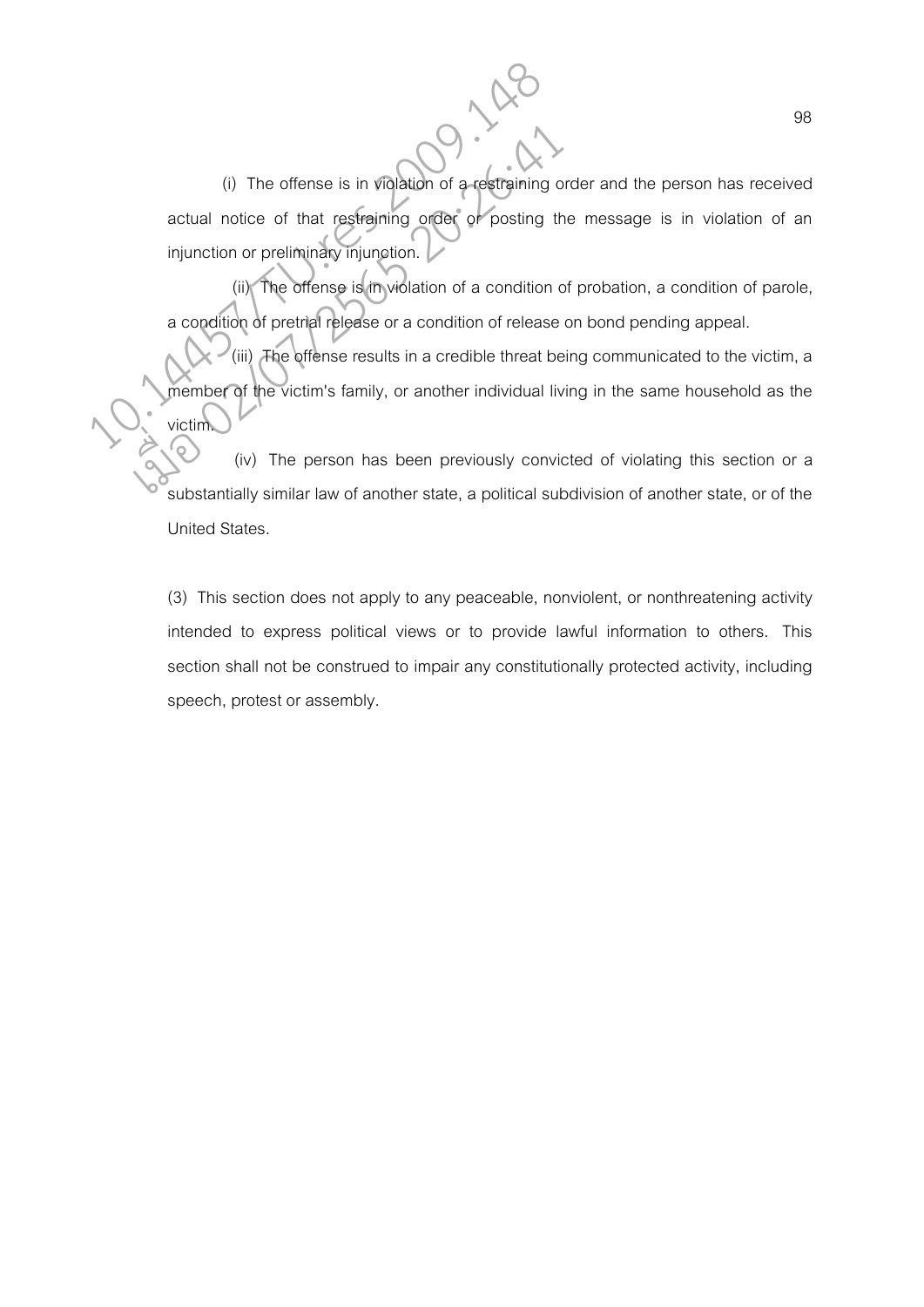(i) The offense is in violation of a restraining order and the person has received actual notice of that restraining order or posting the message is in violation of an injunction or preliminary injunction. (i) The offense is in violation of a-restraining of<br>actual notice of that restraining order or posting the<br>injunction or preliminary injunction.<br>(iii) The offense is in violation of a condition<br>a condition of pretrial rele (i) The offense is in violation of a restraining of actual notice of that restraining order of posting the injunction or preliminary injunction.<br>
(iii) The offense is in violation of a condition calcordition of pretrial re

 (ii) The offense is in violation of a condition of probation, a condition of parole, a condition of pretrial release or a condition of release on bond pending appeal.

 (iii) The offense results in a credible threat being communicated to the victim, a member of the victim's family, or another individual living in the same household as the victim.

 (iv) The person has been previously convicted of violating this section or a substantially similar law of another state, a political subdivision of another state, or of the United States.

(3) This section does not apply to any peaceable, nonviolent, or nonthreatening activity intended to express political views or to provide lawful information to others. This section shall not be construed to impair any constitutionally protected activity, including speech, protest or assembly.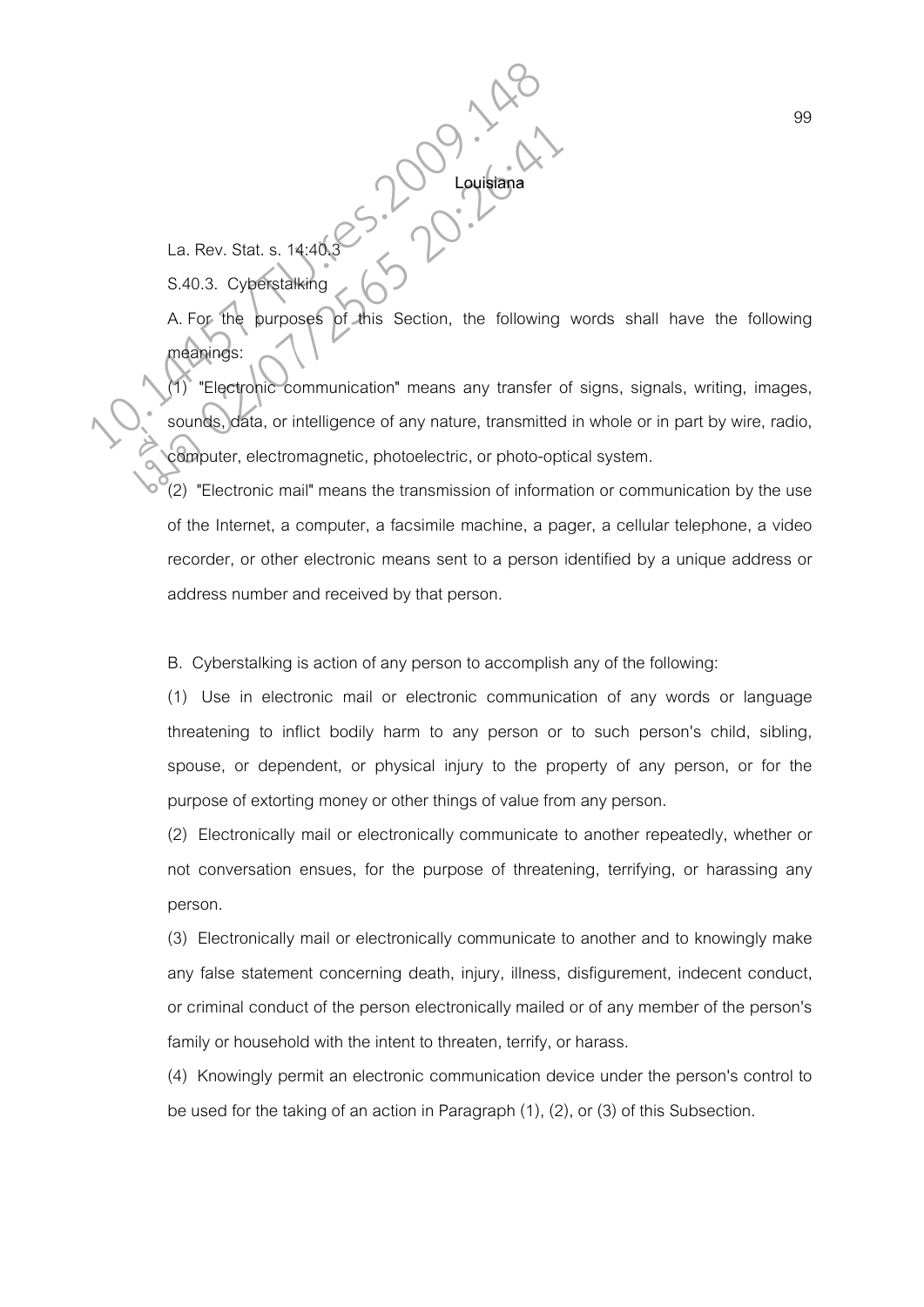La. Rev. Stat. s.  $14:40$ S.40.3. Cyberstalking

A. For the purposes of this Section, the following words shall have the following meanings:

**Louisiana** 

"Electronic communication" means any transfer of signs, signals, writing, images, sounds, data, or intelligence of any nature, transmitted in whole or in part by wire, radio, computer, electromagnetic, photoelectric, or photo-optical system. La. Rev. Stat. s. 14:40.3<br>
S.40.3. Cyperstalking<br>
A. For the purposes of this Section, the following<br>
Meanings:<br>
Sounds, data, or intelligence of any nature, transmitted La. Rev. Stat. s. 14:40.3<br>
S.40.3. Cyperstalking<br>
A. For the purposes of this Section, the following<br>
meanings:<br>
Telectronic communication" means any transfer communication example of any nature, transmitted<br>
Computer, ele

(2) "Electronic mail" means the transmission of information or communication by the use of the Internet, a computer, a facsimile machine, a pager, a cellular telephone, a video recorder, or other electronic means sent to a person identified by a unique address or address number and received by that person.

B. Cyberstalking is action of any person to accomplish any of the following:

(1) Use in electronic mail or electronic communication of any words or language threatening to inflict bodily harm to any person or to such person's child, sibling, spouse, or dependent, or physical injury to the property of any person, or for the purpose of extorting money or other things of value from any person.

(2) Electronically mail or electronically communicate to another repeatedly, whether or not conversation ensues, for the purpose of threatening, terrifying, or harassing any person.

(3) Electronically mail or electronically communicate to another and to knowingly make any false statement concerning death, injury, illness, disfigurement, indecent conduct, or criminal conduct of the person electronically mailed or of any member of the person's family or household with the intent to threaten, terrify, or harass.

(4) Knowingly permit an electronic communication device under the person's control to be used for the taking of an action in Paragraph (1), (2), or (3) of this Subsection.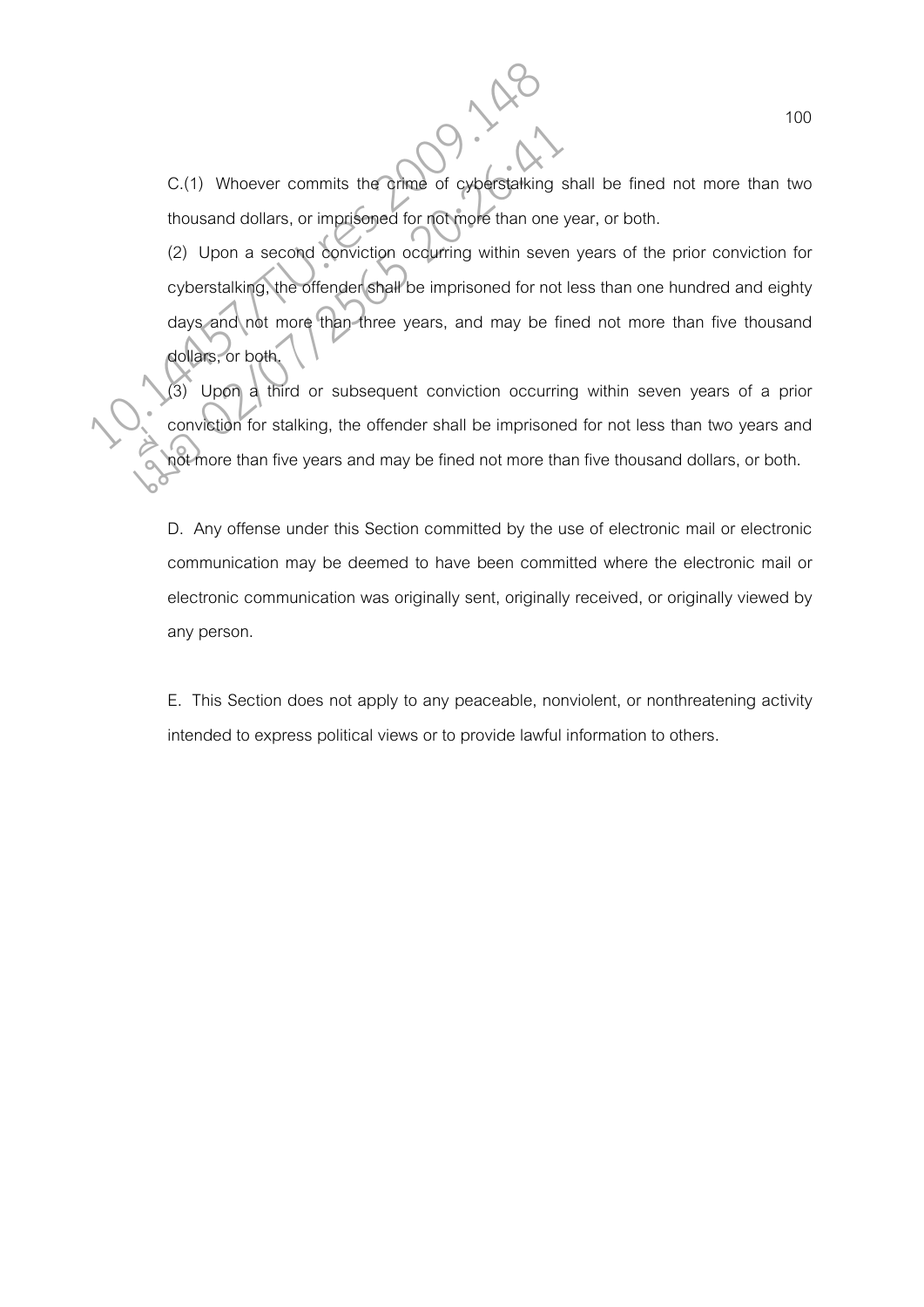C.(1) Whoever commits the crime of cyberstalking shall be fined not more than two thousand dollars, or imprisoned for not more than one year, or both.

(2) Upon a second conviction occurring within seven years of the prior conviction for cyberstalking, the offender shall be imprisoned for not less than one hundred and eighty days and not more than three years, and may be fined not more than five thousand dollars, or both. C.(1) Whoever commits the orinne of cyberstalking<br>thousand dollars, or imprisoned for not more than one<br>(2) Upon a second conviction occurring within seve<br>cyberstalking, the offender shall be imprisoned for not<br>days and no C.(1) Whoever commits the ormae of cyberstalking s<br>thousand dollars, or imprisoned for not more than one<br>(2) Upon a second conviction occurring within sever<br>cyberstalking, the offender shall be imprisoned for not<br>days and

(3) Upon a third or subsequent conviction occurring within seven years of a prior conviction for stalking, the offender shall be imprisoned for not less than two years and not more than five years and may be fined not more than five thousand dollars, or both.

D. Any offense under this Section committed by the use of electronic mail or electronic communication may be deemed to have been committed where the electronic mail or electronic communication was originally sent, originally received, or originally viewed by any person.

E. This Section does not apply to any peaceable, nonviolent, or nonthreatening activity intended to express political views or to provide lawful information to others.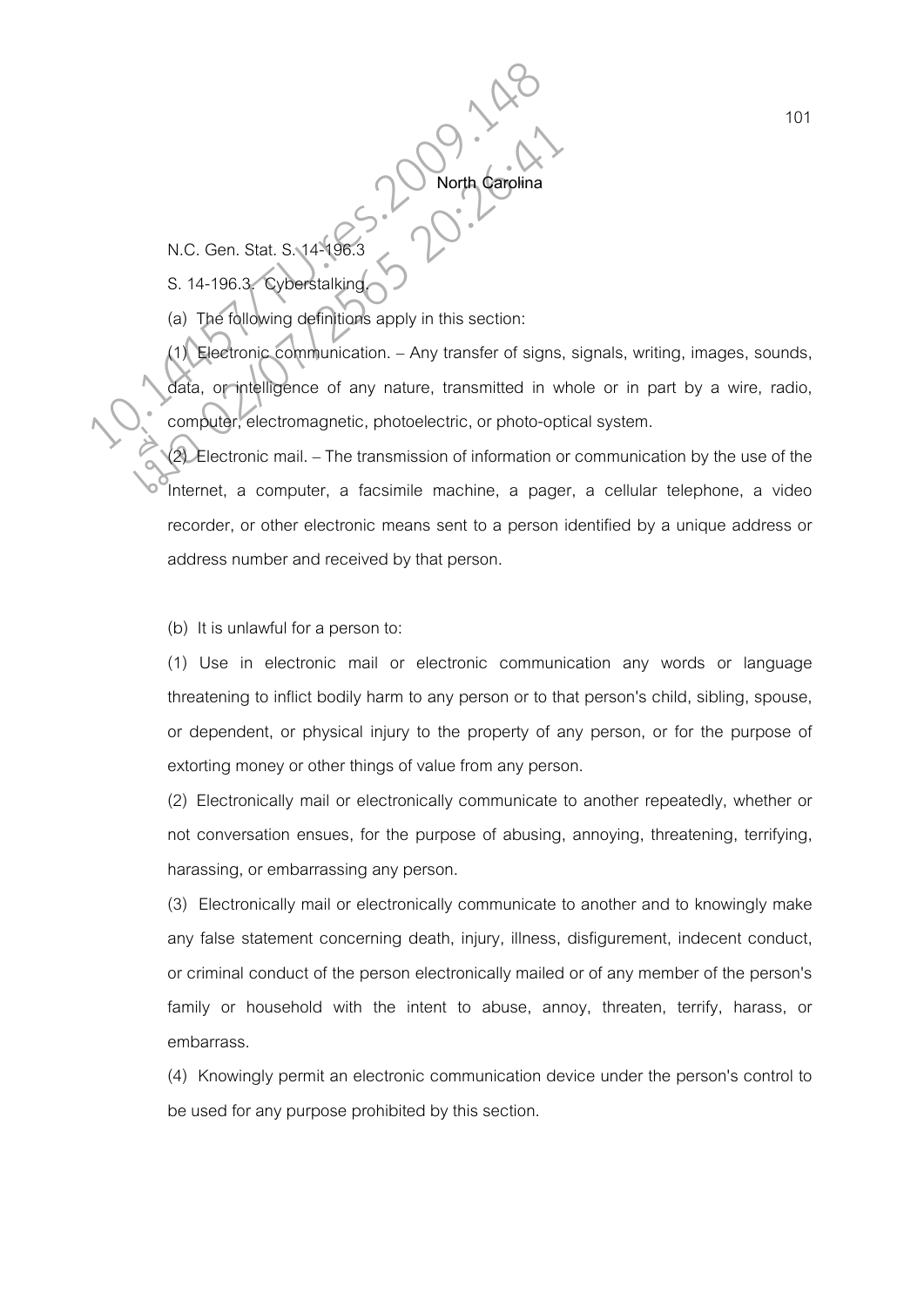N.C. Gen. Stat. S. 14-196.3

S. 14-196.3. Cyberstalking

(a) The following definitions apply in this section:

(1) Electronic communication. – Any transfer of signs, signals, writing, images, sounds, data, or intelligence of any nature, transmitted in whole or in part by a wire, radio, computer, electromagnetic, photoelectric, or photo-optical system. N.C. Gen. Stat. S. 14<sup>5</sup>196.3<br>
S. 14-196.3 Cyberstalking<br>
(a) The following definitions apply in this section:<br>
(1) Electronic communication. – Any transfer of signs<br>
data, or intelligence of any nature, transmitted in v<br> N.C. Gen. Stat. S. 14-196.3<br>
S. 14-196.3<br>
S. 14-196.3<br>
(a) The following definitions apply in this section:<br>
(1) Electronic communication. – Any transfer of signs,<br>
data, or intelligence of any nature, transmitted in w<br>
co

**North Carolina** 

(2) Electronic mail. – The transmission of information or communication by the use of the Internet, a computer, a facsimile machine, a pager, a cellular telephone, a video recorder, or other electronic means sent to a person identified by a unique address or address number and received by that person.

(b) It is unlawful for a person to:

(1) Use in electronic mail or electronic communication any words or language threatening to inflict bodily harm to any person or to that person's child, sibling, spouse, or dependent, or physical injury to the property of any person, or for the purpose of extorting money or other things of value from any person.

(2) Electronically mail or electronically communicate to another repeatedly, whether or not conversation ensues, for the purpose of abusing, annoying, threatening, terrifying, harassing, or embarrassing any person.

(3) Electronically mail or electronically communicate to another and to knowingly make any false statement concerning death, injury, illness, disfigurement, indecent conduct, or criminal conduct of the person electronically mailed or of any member of the person's family or household with the intent to abuse, annoy, threaten, terrify, harass, or embarrass.

(4) Knowingly permit an electronic communication device under the person's control to be used for any purpose prohibited by this section.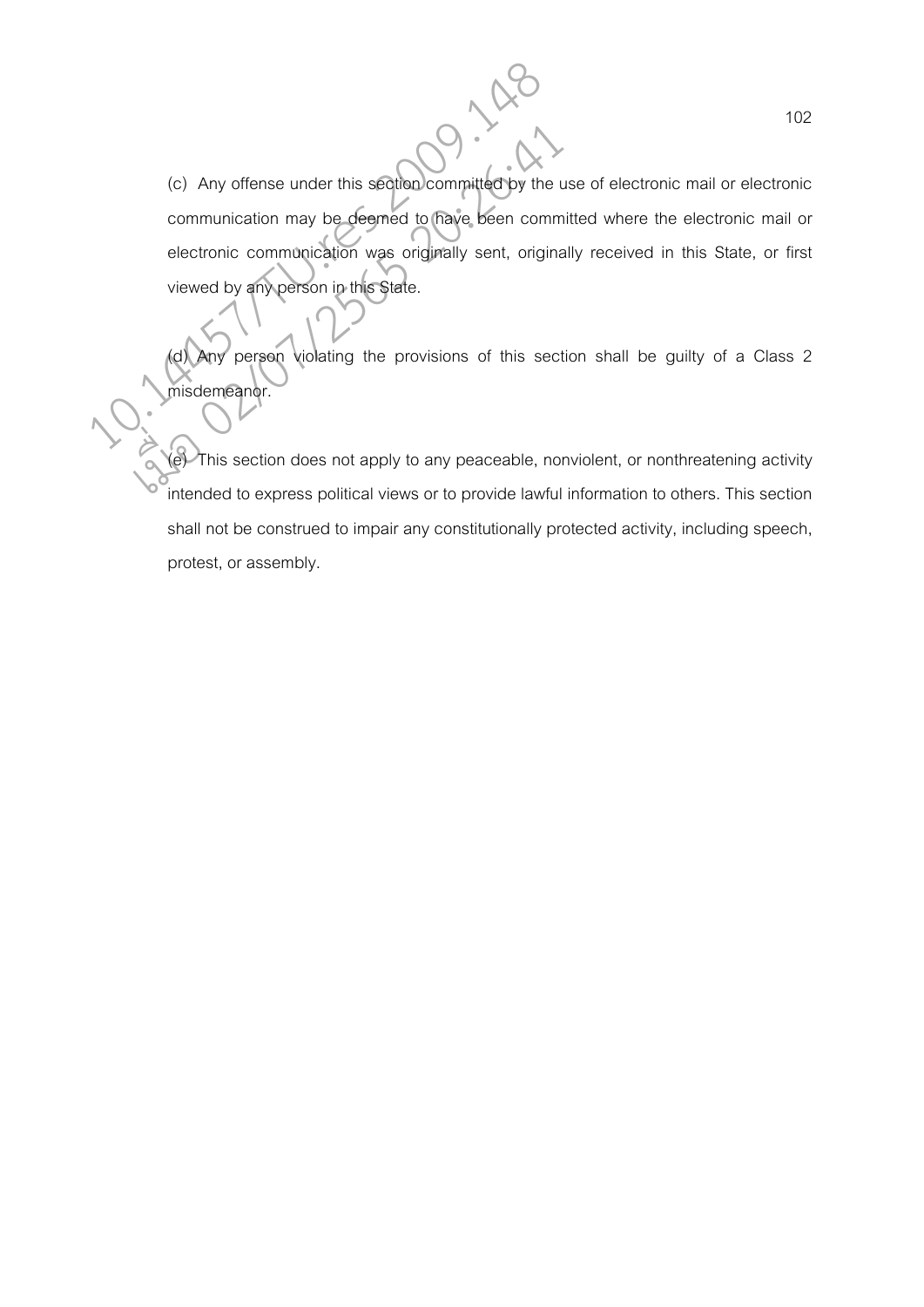(c) Any offense under this section committed by the use of electronic mail or electronic communication may be deemed to have been committed where the electronic mail or electronic communication was originally sent, originally received in this State, or first viewed by any person in this State. (c) Any offense under this section committed by the<br>
communication may be deemed to have been comm<br>
electronic communication was originally sent, original<br>
viewed by any person in this State.<br>
(d) Any person violating the (c) Any offense under this section committed by the uncommunication may be deemed to have been commented by any person in this State.<br>
viewed by any person in this State.<br>
(d) Any person violating the provisions of this se

Any person violating the provisions of this section shall be guilty of a Class 2 misdemeanor.

(e) This section does not apply to any peaceable, nonviolent, or nonthreatening activity intended to express political views or to provide lawful information to others. This section shall not be construed to impair any constitutionally protected activity, including speech, protest, or assembly.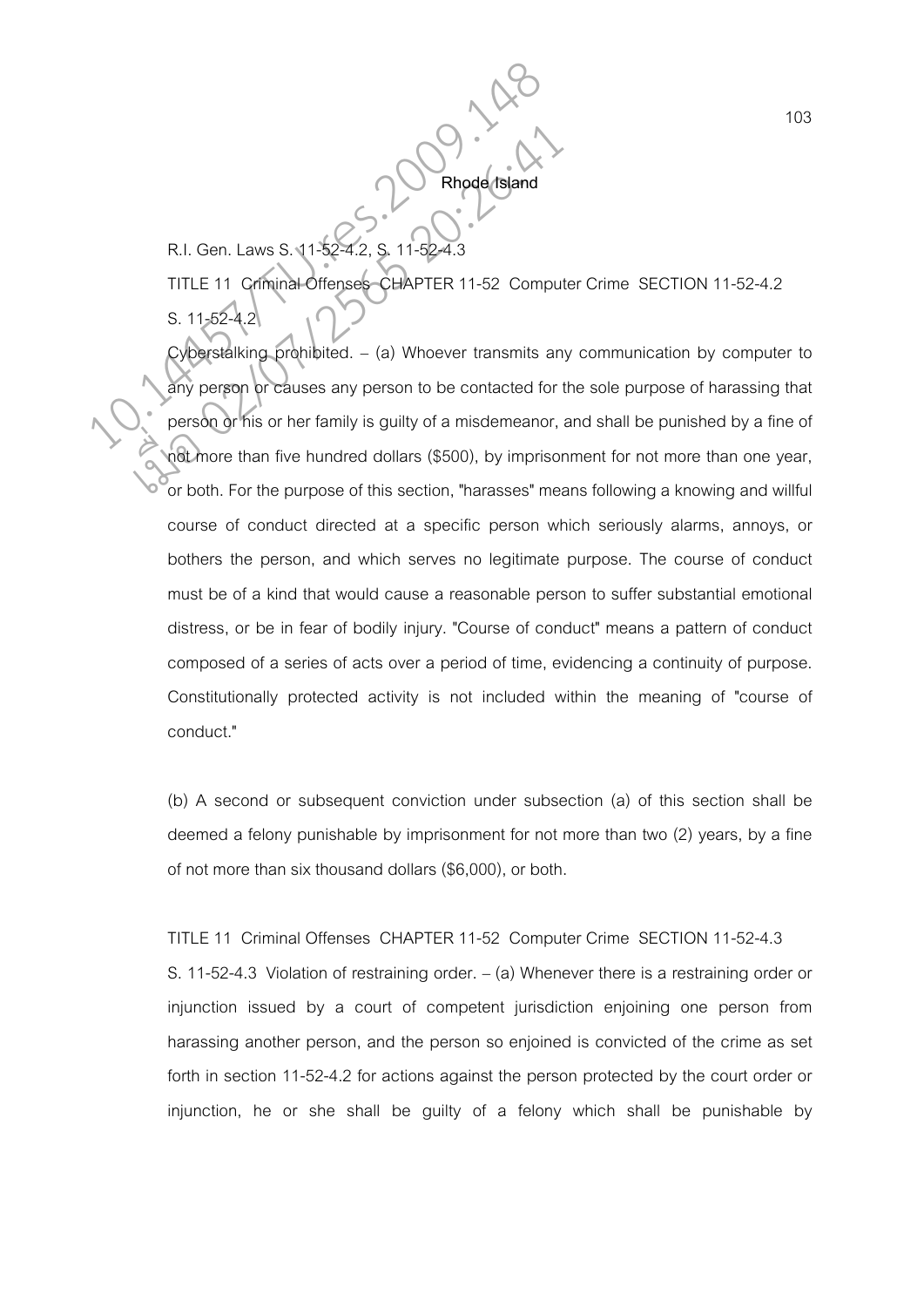R.I. Gen. Laws S. 11-52-4. TITLE 11 Criminal Offenses CHAPTER 11-52 Computer Crime SECTION 11-52-4.2 S. 11-52-4.2

**Rhode Island** 

Cyberstalking prohibited. – (a) Whoever transmits any communication by computer to any person or causes any person to be contacted for the sole purpose of harassing that person or his or her family is guilty of a misdemeanor, and shall be punished by a fine of not more than five hundred dollars (\$500), by imprisonment for not more than one year, or both. For the purpose of this section, "harasses" means following a knowing and willful course of conduct directed at a specific person which seriously alarms, annoys, or bothers the person, and which serves no legitimate purpose. The course of conduct must be of a kind that would cause a reasonable person to suffer substantial emotional distress, or be in fear of bodily injury. "Course of conduct" means a pattern of conduct composed of a series of acts over a period of time, evidencing a continuity of purpose. Constitutionally protected activity is not included within the meaning of "course of conduct." R.I. Gen. Laws S. 11-52-4.2, S. 11-52-4.3<br>TITLE 11 Criminal Offenses CHAPTER 11-52 Compuses 3.11-52-4.2<br>S. 11-52-4.2<br>Cyberstalking prohibited. – (a) Whoever transmits and any person or causes any person to be contacted for R.I. Gen. Laws S. 11-52-4.2, S. 11-52-4.3<br>
TITLE 11 Criminal Offenses CHAPTER 11-52 Computer<br>
S. 11-52-4.2<br>
Cyberstalking prohibited. – (a) Whoever transmits an<br>
any person or his or her family is guilty of a misdemeanor,<br>

> (b) A second or subsequent conviction under subsection (a) of this section shall be deemed a felony punishable by imprisonment for not more than two (2) years, by a fine of not more than six thousand dollars (\$6,000), or both.

## TITLE 11 Criminal Offenses CHAPTER 11-52 Computer Crime SECTION 11-52-4.3

S. 11-52-4.3 Violation of restraining order. – (a) Whenever there is a restraining order or injunction issued by a court of competent jurisdiction enjoining one person from harassing another person, and the person so enjoined is convicted of the crime as set forth in section 11-52-4.2 for actions against the person protected by the court order or injunction, he or she shall be guilty of a felony which shall be punishable by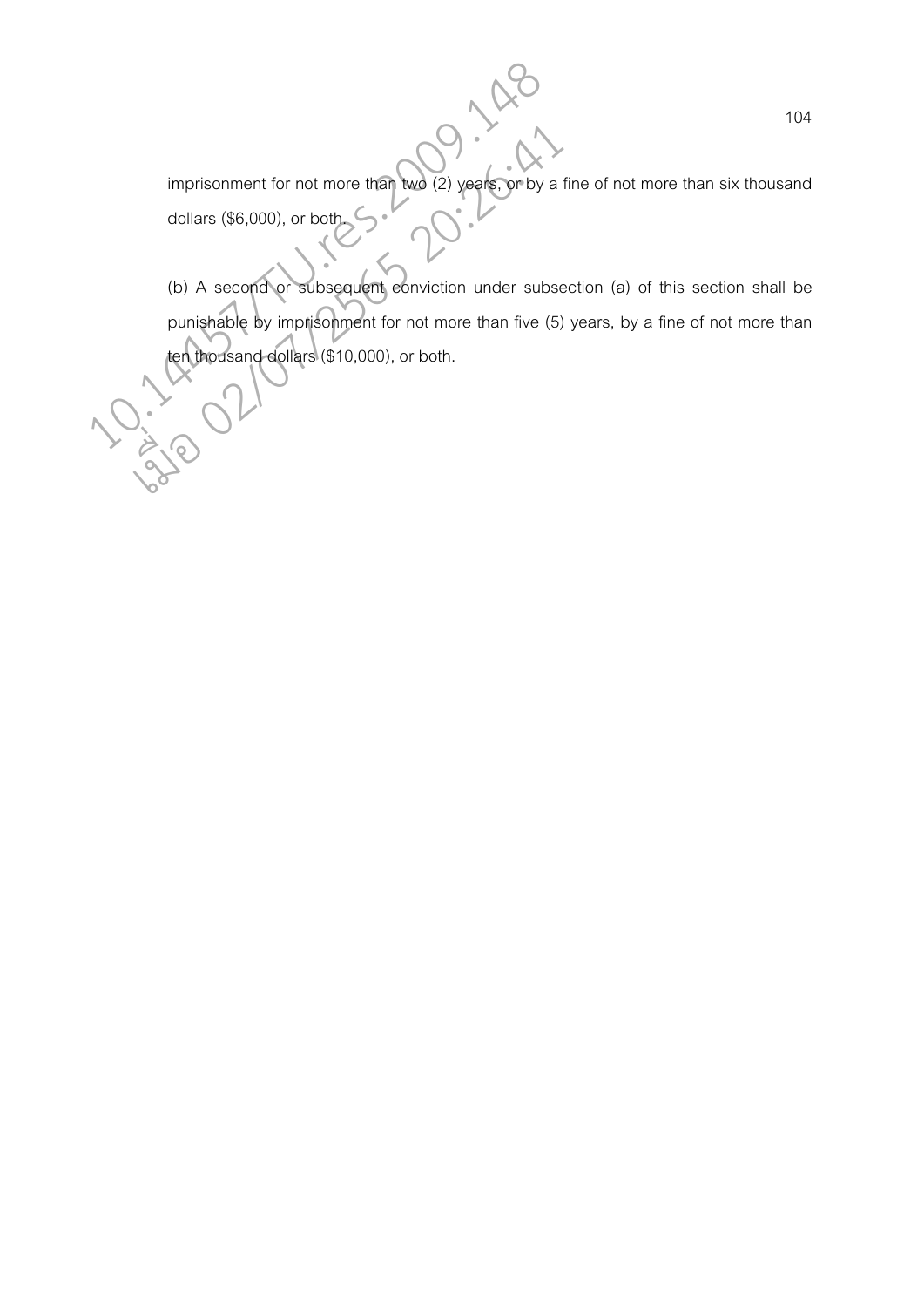imprisonment for not more than two (2) years, or by a fine of not more than six thousand dollars (\$6,000), or both.

(b) A second or subsequent conviction under subsection (a) of this section shall be punishable by imprisonment for not more than five (5) years, by a fine of not more than timprisonment for not more than two (2) years, or by a<br>dollars (\$6,000), or both.<br>(b) A second or subsequent conviction under subs<br>punishable by imprisonment for not more than five (5<br>ten thousand dollars (\$10,000), or bot imprisonment for not more than two (2) years or by a<br>dollars (\$6,000), or both<br>(b) A second or subsequent eonviction under subsequent<br>punishable by imprisonment for not more than five (5)<br>ten thousand dollars (\$10,000), or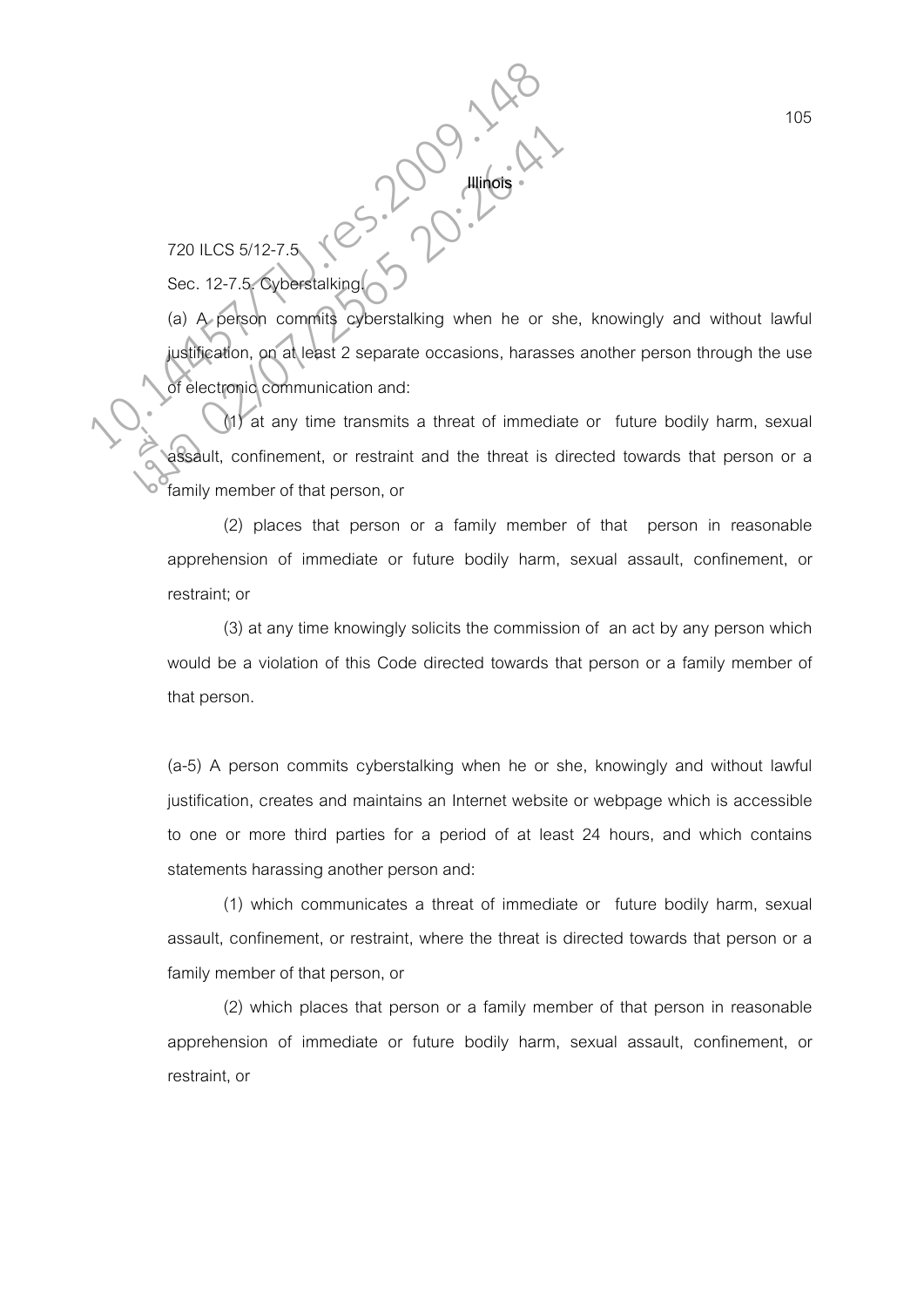720 ILCS 5/12-7.5

Sec. 12-7.5. Cyberstalking.

(a) A person commits cyberstalking when he or she, knowingly and without lawful justification, on at least 2 separate occasions, harasses another person through the use of electronic communication and: 120 ILCS 5/12-7.5<br>
Sec. 12-7.5 Cyberstalking<br>
(a) A person committe cyberstalking when he or s<br>
(a) A person committe cyberstalking when he or s<br>
(a) at any time transmits a threat of immedia T20 ILCS 5/12-7.5<br>
Sec. 12-7.5 Cyberstalking<br>
(a) A person commits cyberstalking when he or shinglification, on at least 2 separate occasions, harasse<br>
of electronic communication and:<br>
(a) at any time transmits a threat o

**Illinois** 

(1) at any time transmits a threat of immediate or future bodily harm, sexual assault, confinement, or restraint and the threat is directed towards that person or a family member of that person, or

(2) places that person or a family member of that person in reasonable apprehension of immediate or future bodily harm, sexual assault, confinement, or restraint; or

(3) at any time knowingly solicits the commission of an act by any person which would be a violation of this Code directed towards that person or a family member of that person.

(a-5) A person commits cyberstalking when he or she, knowingly and without lawful justification, creates and maintains an Internet website or webpage which is accessible to one or more third parties for a period of at least 24 hours, and which contains statements harassing another person and:

(1) which communicates a threat of immediate or future bodily harm, sexual assault, confinement, or restraint, where the threat is directed towards that person or a family member of that person, or

(2) which places that person or a family member of that person in reasonable apprehension of immediate or future bodily harm, sexual assault, confinement, or restraint, or